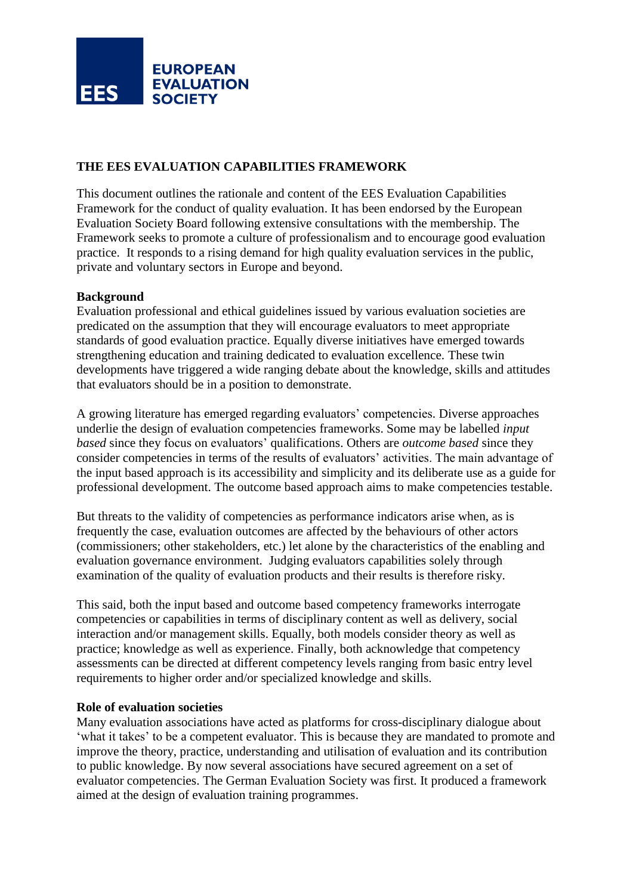

### **THE EES EVALUATION CAPABILITIES FRAMEWORK**

This document outlines the rationale and content of the EES Evaluation Capabilities Framework for the conduct of quality evaluation. It has been endorsed by the European Evaluation Society Board following extensive consultations with the membership. The Framework seeks to promote a culture of professionalism and to encourage good evaluation practice. It responds to a rising demand for high quality evaluation services in the public, private and voluntary sectors in Europe and beyond.

### **Background**

Evaluation professional and ethical guidelines issued by various evaluation societies are predicated on the assumption that they will encourage evaluators to meet appropriate standards of good evaluation practice. Equally diverse initiatives have emerged towards strengthening education and training dedicated to evaluation excellence. These twin developments have triggered a wide ranging debate about the knowledge, skills and attitudes that evaluators should be in a position to demonstrate.

A growing literature has emerged regarding evaluators' competencies. Diverse approaches underlie the design of evaluation competencies frameworks. Some may be labelled *input based* since they focus on evaluators' qualifications. Others are *outcome based* since they consider competencies in terms of the results of evaluators' activities. The main advantage of the input based approach is its accessibility and simplicity and its deliberate use as a guide for professional development. The outcome based approach aims to make competencies testable.

But threats to the validity of competencies as performance indicators arise when, as is frequently the case, evaluation outcomes are affected by the behaviours of other actors (commissioners; other stakeholders, etc.) let alone by the characteristics of the enabling and evaluation governance environment. Judging evaluators capabilities solely through examination of the quality of evaluation products and their results is therefore risky.

This said, both the input based and outcome based competency frameworks interrogate competencies or capabilities in terms of disciplinary content as well as delivery, social interaction and/or management skills. Equally, both models consider theory as well as practice; knowledge as well as experience. Finally, both acknowledge that competency assessments can be directed at different competency levels ranging from basic entry level requirements to higher order and/or specialized knowledge and skills.

### **Role of evaluation societies**

Many evaluation associations have acted as platforms for cross-disciplinary dialogue about 'what it takes' to be a competent evaluator. This is because they are mandated to promote and improve the theory, practice, understanding and utilisation of evaluation and its contribution to public knowledge. By now several associations have secured agreement on a set of evaluator competencies. The German Evaluation Society was first. It produced a framework aimed at the design of evaluation training programmes.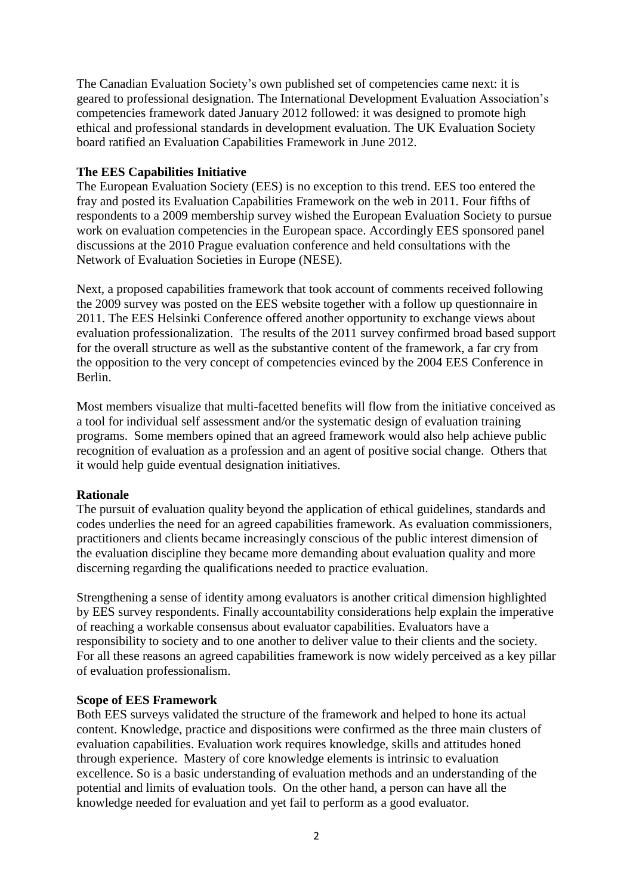The Canadian Evaluation Society's own published set of competencies came next: it is geared to professional designation. The International Development Evaluation Association's competencies framework dated January 2012 followed: it was designed to promote high ethical and professional standards in development evaluation. The UK Evaluation Society board ratified an Evaluation Capabilities Framework in June 2012.

### **The EES Capabilities Initiative**

The European Evaluation Society (EES) is no exception to this trend. EES too entered the fray and posted its Evaluation Capabilities Framework on the web in 2011. Four fifths of respondents to a 2009 membership survey wished the European Evaluation Society to pursue work on evaluation competencies in the European space. Accordingly EES sponsored panel discussions at the 2010 Prague evaluation conference and held consultations with the Network of Evaluation Societies in Europe (NESE).

Next, a proposed capabilities framework that took account of comments received following the 2009 survey was posted on the EES website together with a follow up questionnaire in 2011. The EES Helsinki Conference offered another opportunity to exchange views about evaluation professionalization. The results of the 2011 survey confirmed broad based support for the overall structure as well as the substantive content of the framework, a far cry from the opposition to the very concept of competencies evinced by the 2004 EES Conference in Berlin.

Most members visualize that multi-facetted benefits will flow from the initiative conceived as a tool for individual self assessment and/or the systematic design of evaluation training programs. Some members opined that an agreed framework would also help achieve public recognition of evaluation as a profession and an agent of positive social change. Others that it would help guide eventual designation initiatives.

### **Rationale**

The pursuit of evaluation quality beyond the application of ethical guidelines, standards and codes underlies the need for an agreed capabilities framework. As evaluation commissioners, practitioners and clients became increasingly conscious of the public interest dimension of the evaluation discipline they became more demanding about evaluation quality and more discerning regarding the qualifications needed to practice evaluation.

Strengthening a sense of identity among evaluators is another critical dimension highlighted by EES survey respondents. Finally accountability considerations help explain the imperative of reaching a workable consensus about evaluator capabilities. Evaluators have a responsibility to society and to one another to deliver value to their clients and the society. For all these reasons an agreed capabilities framework is now widely perceived as a key pillar of evaluation professionalism.

# **Scope of EES Framework**

Both EES surveys validated the structure of the framework and helped to hone its actual content. Knowledge, practice and dispositions were confirmed as the three main clusters of evaluation capabilities. Evaluation work requires knowledge, skills and attitudes honed through experience. Mastery of core knowledge elements is intrinsic to evaluation excellence. So is a basic understanding of evaluation methods and an understanding of the potential and limits of evaluation tools. On the other hand, a person can have all the knowledge needed for evaluation and yet fail to perform as a good evaluator.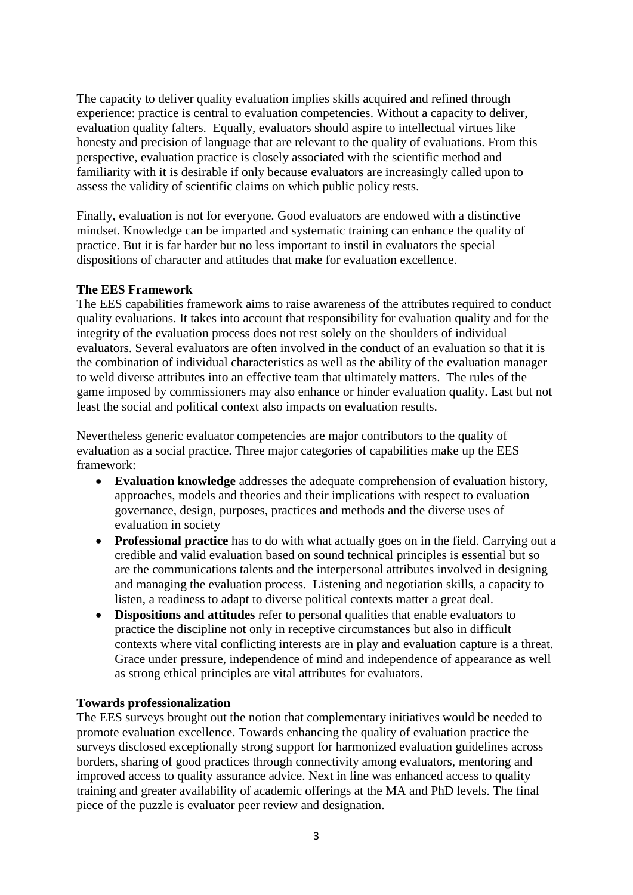The capacity to deliver quality evaluation implies skills acquired and refined through experience: practice is central to evaluation competencies. Without a capacity to deliver, evaluation quality falters. Equally, evaluators should aspire to intellectual virtues like honesty and precision of language that are relevant to the quality of evaluations. From this perspective, evaluation practice is closely associated with the scientific method and familiarity with it is desirable if only because evaluators are increasingly called upon to assess the validity of scientific claims on which public policy rests.

Finally, evaluation is not for everyone. Good evaluators are endowed with a distinctive mindset. Knowledge can be imparted and systematic training can enhance the quality of practice. But it is far harder but no less important to instil in evaluators the special dispositions of character and attitudes that make for evaluation excellence.

### **The EES Framework**

The EES capabilities framework aims to raise awareness of the attributes required to conduct quality evaluations. It takes into account that responsibility for evaluation quality and for the integrity of the evaluation process does not rest solely on the shoulders of individual evaluators. Several evaluators are often involved in the conduct of an evaluation so that it is the combination of individual characteristics as well as the ability of the evaluation manager to weld diverse attributes into an effective team that ultimately matters. The rules of the game imposed by commissioners may also enhance or hinder evaluation quality. Last but not least the social and political context also impacts on evaluation results.

Nevertheless generic evaluator competencies are major contributors to the quality of evaluation as a social practice. Three major categories of capabilities make up the EES framework:

- **Evaluation knowledge** addresses the adequate comprehension of evaluation history, approaches, models and theories and their implications with respect to evaluation governance, design, purposes, practices and methods and the diverse uses of evaluation in society
- **Professional practice** has to do with what actually goes on in the field. Carrying out a credible and valid evaluation based on sound technical principles is essential but so are the communications talents and the interpersonal attributes involved in designing and managing the evaluation process. Listening and negotiation skills, a capacity to listen, a readiness to adapt to diverse political contexts matter a great deal.
- **Dispositions and attitudes** refer to personal qualities that enable evaluators to practice the discipline not only in receptive circumstances but also in difficult contexts where vital conflicting interests are in play and evaluation capture is a threat. Grace under pressure, independence of mind and independence of appearance as well as strong ethical principles are vital attributes for evaluators.

# **Towards professionalization**

The EES surveys brought out the notion that complementary initiatives would be needed to promote evaluation excellence. Towards enhancing the quality of evaluation practice the surveys disclosed exceptionally strong support for harmonized evaluation guidelines across borders, sharing of good practices through connectivity among evaluators, mentoring and improved access to quality assurance advice. Next in line was enhanced access to quality training and greater availability of academic offerings at the MA and PhD levels. The final piece of the puzzle is evaluator peer review and designation.